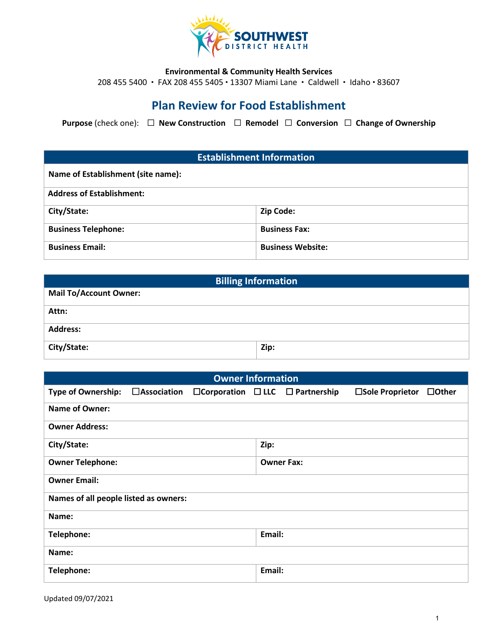

#### **Environmental & Community Health Services**

208 455 5400 · FAX 208 455 5405 · 13307 Miami Lane · Caldwell · Idaho · 83607

# **Plan Review for Food Establishment**

**Purpose** (check one): ☐ **New Construction** ☐ **Remodel** ☐ **Conversion** ☐ **Change of Ownership**

### **Establishment Information**

| Name of Establishment (site name): |                          |
|------------------------------------|--------------------------|
| <b>Address of Establishment:</b>   |                          |
| City/State:                        | <b>Zip Code:</b>         |
| <b>Business Telephone:</b>         | <b>Business Fax:</b>     |
| <b>Business Email:</b>             | <b>Business Website:</b> |

| <b>Billing Information</b>    |      |  |
|-------------------------------|------|--|
| <b>Mail To/Account Owner:</b> |      |  |
| Attn:                         |      |  |
| <b>Address:</b>               |      |  |
| City/State:                   | Zip: |  |

| <b>Owner Information</b>              |                       |  |        |                                                  |                  |              |
|---------------------------------------|-----------------------|--|--------|--------------------------------------------------|------------------|--------------|
| <b>Type of Ownership:</b>             | $\square$ Association |  |        | $\Box$ Corporation $\Box$ LLC $\Box$ Partnership | □Sole Proprietor | $\Box$ Other |
| <b>Name of Owner:</b>                 |                       |  |        |                                                  |                  |              |
| <b>Owner Address:</b>                 |                       |  |        |                                                  |                  |              |
| City/State:                           |                       |  | Zip:   |                                                  |                  |              |
| <b>Owner Telephone:</b>               |                       |  |        | <b>Owner Fax:</b>                                |                  |              |
| <b>Owner Email:</b>                   |                       |  |        |                                                  |                  |              |
| Names of all people listed as owners: |                       |  |        |                                                  |                  |              |
| Name:                                 |                       |  |        |                                                  |                  |              |
| Telephone:                            |                       |  | Email: |                                                  |                  |              |
| Name:                                 |                       |  |        |                                                  |                  |              |
| Telephone:                            |                       |  | Email: |                                                  |                  |              |
|                                       |                       |  |        |                                                  |                  |              |

Updated 09/07/2021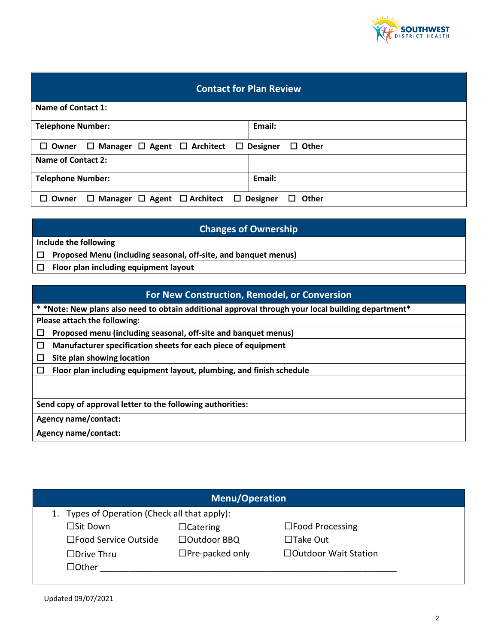

### **Contact for Plan Review**

| Name of Contact 1:                                                              |                 |
|---------------------------------------------------------------------------------|-----------------|
| <b>Telephone Number:</b>                                                        | Email:          |
| $\Box$ Manager $\Box$ Agent $\Box$ Architect $\Box$ Designer<br>$\square$ Owner | $\Box$ Other    |
| Name of Contact 2:                                                              |                 |
| <b>Telephone Number:</b>                                                        | Email:          |
| $\Box$ Manager $\Box$ Agent $\Box$ Architect $\Box$ Designer<br>$\square$ Owner | Other<br>$\Box$ |

# **Changes of Ownership**

**Include the following**

☐ **Proposed Menu (including seasonal, off-site, and banquet menus)**

☐ **Floor plan including equipment layout**

# **For New Construction, Remodel, or Conversion**

**\* \*Note: New plans also need to obtain additional approval through your local building department\***

**Please attach the following:**

☐ **Proposed menu (including seasonal, off-site and banquet menus)**

☐ **Manufacturer specification sheets for each piece of equipment**

☐ **Site plan showing location**

☐ **Floor plan including equipment layout, plumbing, and finish schedule**

**Send copy of approval letter to the following authorities:**

**Agency name/contact:**

**Agency name/contact:** 

| <b>Menu/Operation</b>                         |                        |                             |  |
|-----------------------------------------------|------------------------|-----------------------------|--|
| 1. Types of Operation (Check all that apply): |                        |                             |  |
| □Sit Down                                     | $\Box$ Catering        | $\square$ Food Processing   |  |
| □Food Service Outside                         | □Outdoor BBQ           | $\Box$ Take Out             |  |
| $\Box$ Drive Thru                             | $\Box$ Pre-packed only | $\Box$ Outdoor Wait Station |  |
| $\Box$ Other                                  |                        |                             |  |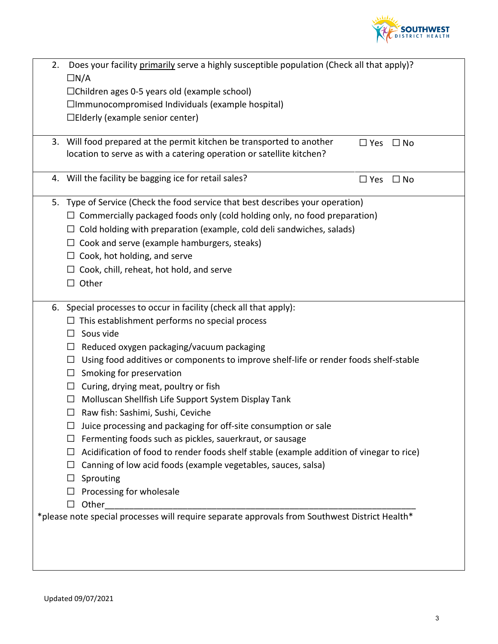

| 2. | Does your facility primarily serve a highly susceptible population (Check all that apply)?<br>$\Box N/A$ |
|----|----------------------------------------------------------------------------------------------------------|
|    | $\Box$ Children ages 0-5 years old (example school)                                                      |
|    | $\Box$ Immunocompromised Individuals (example hospital)                                                  |
|    | $\Box$ Elderly (example senior center)                                                                   |
|    |                                                                                                          |
|    | 3. Will food prepared at the permit kitchen be transported to another<br>$\Box$ Yes<br>$\Box$ No         |
|    | location to serve as with a catering operation or satellite kitchen?                                     |
|    |                                                                                                          |
|    | 4. Will the facility be bagging ice for retail sales?<br>$\Box$ No<br>$\Box$ Yes                         |
|    | 5. Type of Service (Check the food service that best describes your operation)                           |
|    | $\Box$ Commercially packaged foods only (cold holding only, no food preparation)                         |
|    | Cold holding with preparation (example, cold deli sandwiches, salads)<br>ப                               |
|    | Cook and serve (example hamburgers, steaks)<br>$\Box$                                                    |
|    | Cook, hot holding, and serve<br>Ш                                                                        |
|    | Cook, chill, reheat, hot hold, and serve<br>$\Box$                                                       |
|    | $\Box$ Other                                                                                             |
|    |                                                                                                          |
|    | 6. Special processes to occur in facility (check all that apply):                                        |
|    | This establishment performs no special process<br>⊔                                                      |
|    | Sous vide<br>$\Box$                                                                                      |
|    | Reduced oxygen packaging/vacuum packaging<br>$\Box$                                                      |
|    | Using food additives or components to improve shelf-life or render foods shelf-stable<br>$\Box$          |
|    | Smoking for preservation<br>□                                                                            |
|    | Curing, drying meat, poultry or fish<br>$\Box$                                                           |
|    | Molluscan Shellfish Life Support System Display Tank<br>$\Box$                                           |
|    | Raw fish: Sashimi, Sushi, Ceviche<br>□                                                                   |
|    | Juice processing and packaging for off-site consumption or sale<br>ப                                     |
|    | Fermenting foods such as pickles, sauerkraut, or sausage<br>⊔                                            |
|    | Acidification of food to render foods shelf stable (example addition of vinegar to rice)<br>$\Box$       |
|    | Canning of low acid foods (example vegetables, sauces, salsa)<br>$\Box$                                  |
|    | Sprouting<br>$\Box$                                                                                      |
|    | Processing for wholesale<br>⊔                                                                            |
|    | Other<br>ப                                                                                               |
|    | *please note special processes will require separate approvals from Southwest District Health*           |
|    |                                                                                                          |
|    |                                                                                                          |
|    |                                                                                                          |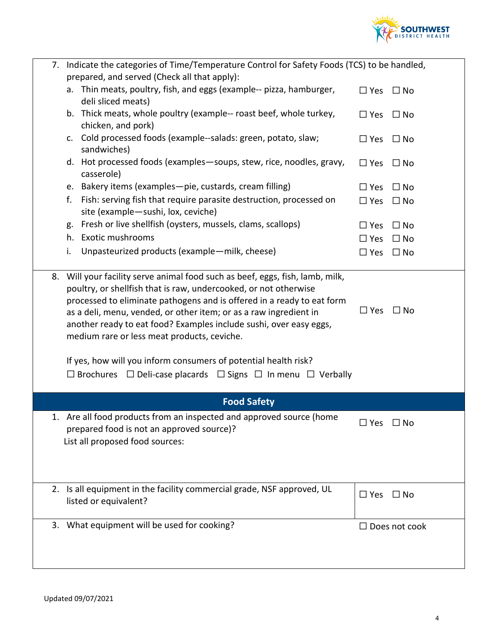

| 7. Indicate the categories of Time/Temperature Control for Safety Foods (TCS) to be handled,<br>prepared, and served (Check all that apply):                                                                                                                                                                                                                                                                                                                                                                                                                                       |                      |                      |
|------------------------------------------------------------------------------------------------------------------------------------------------------------------------------------------------------------------------------------------------------------------------------------------------------------------------------------------------------------------------------------------------------------------------------------------------------------------------------------------------------------------------------------------------------------------------------------|----------------------|----------------------|
| a. Thin meats, poultry, fish, and eggs (example-- pizza, hamburger,<br>deli sliced meats)                                                                                                                                                                                                                                                                                                                                                                                                                                                                                          | $\Box$ Yes           | $\Box$ No            |
| b. Thick meats, whole poultry (example-- roast beef, whole turkey,<br>chicken, and pork)                                                                                                                                                                                                                                                                                                                                                                                                                                                                                           | $\Box$ Yes           | $\Box$ No            |
| c. Cold processed foods (example--salads: green, potato, slaw;<br>sandwiches)                                                                                                                                                                                                                                                                                                                                                                                                                                                                                                      | $\Box$ Yes           | $\Box$ No            |
| d. Hot processed foods (examples-soups, stew, rice, noodles, gravy,<br>casserole)                                                                                                                                                                                                                                                                                                                                                                                                                                                                                                  | $\Box$ Yes           | $\Box$ No            |
| e. Bakery items (examples-pie, custards, cream filling)                                                                                                                                                                                                                                                                                                                                                                                                                                                                                                                            | $\Box$ Yes           | $\Box$ No            |
| f.<br>Fish: serving fish that require parasite destruction, processed on<br>site (example-sushi, lox, ceviche)                                                                                                                                                                                                                                                                                                                                                                                                                                                                     | $\square$ Yes        | $\Box$ No            |
| Fresh or live shellfish (oysters, mussels, clams, scallops)<br>g.                                                                                                                                                                                                                                                                                                                                                                                                                                                                                                                  | $\square$ Yes        | $\Box$ No            |
| <b>Exotic mushrooms</b><br>h.                                                                                                                                                                                                                                                                                                                                                                                                                                                                                                                                                      | $\Box$ Yes           | $\Box$ No            |
| Unpasteurized products (example-milk, cheese)<br>i.                                                                                                                                                                                                                                                                                                                                                                                                                                                                                                                                | $\square$ Yes        | $\Box$ No            |
| 8. Will your facility serve animal food such as beef, eggs, fish, lamb, milk,<br>poultry, or shellfish that is raw, undercooked, or not otherwise<br>processed to eliminate pathogens and is offered in a ready to eat form<br>as a deli, menu, vended, or other item; or as a raw ingredient in<br>another ready to eat food? Examples include sushi, over easy eggs,<br>medium rare or less meat products, ceviche.<br>If yes, how will you inform consumers of potential health risk?<br>$\Box$ Brochures $\Box$ Deli-case placards $\Box$ Signs $\Box$ In menu $\Box$ Verbally | $\square$ Yes        | $\Box$ No            |
|                                                                                                                                                                                                                                                                                                                                                                                                                                                                                                                                                                                    |                      |                      |
| <b>Food Safety</b>                                                                                                                                                                                                                                                                                                                                                                                                                                                                                                                                                                 |                      |                      |
| 1. Are all food products from an inspected and approved source (home<br>prepared food is not an approved source)?<br>List all proposed food sources:                                                                                                                                                                                                                                                                                                                                                                                                                               | $\Box$ Yes $\Box$ No |                      |
|                                                                                                                                                                                                                                                                                                                                                                                                                                                                                                                                                                                    |                      |                      |
| 2. Is all equipment in the facility commercial grade, NSF approved, UL<br>listed or equivalent?                                                                                                                                                                                                                                                                                                                                                                                                                                                                                    | $\square$ Yes        | $\Box$ No            |
| 3. What equipment will be used for cooking?                                                                                                                                                                                                                                                                                                                                                                                                                                                                                                                                        |                      | $\Box$ Does not cook |
|                                                                                                                                                                                                                                                                                                                                                                                                                                                                                                                                                                                    |                      |                      |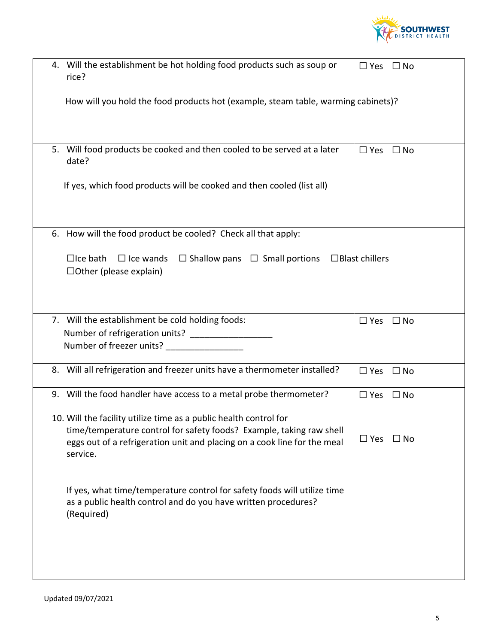

| 4. Will the establishment be hot holding food products such as soup or<br>rice?                                                                                                                                                   | $\square$ Yes         | $\Box$ No |
|-----------------------------------------------------------------------------------------------------------------------------------------------------------------------------------------------------------------------------------|-----------------------|-----------|
| How will you hold the food products hot (example, steam table, warming cabinets)?                                                                                                                                                 |                       |           |
| 5. Will food products be cooked and then cooled to be served at a later<br>date?                                                                                                                                                  | $\square$ Yes         | $\Box$ No |
| If yes, which food products will be cooked and then cooled (list all)                                                                                                                                                             |                       |           |
| 6. How will the food product be cooled? Check all that apply:                                                                                                                                                                     |                       |           |
| $\Box$ Ice bath<br>$\Box$ Ice wands<br>$\Box$ Shallow pans $\Box$ Small portions<br>$\Box$ Other (please explain)                                                                                                                 | $\Box$ Blast chillers |           |
|                                                                                                                                                                                                                                   |                       |           |
| 7. Will the establishment be cold holding foods:<br>Number of refrigeration units? _____________                                                                                                                                  | $\square$ Yes         | $\Box$ No |
| Number of freezer units? ________________                                                                                                                                                                                         |                       |           |
| 8. Will all refrigeration and freezer units have a thermometer installed?                                                                                                                                                         | $\Box$ Yes            | $\Box$ No |
| 9. Will the food handler have access to a metal probe thermometer?                                                                                                                                                                | $\square$ Yes         | $\Box$ No |
| 10. Will the facility utilize time as a public health control for<br>time/temperature control for safety foods? Example, taking raw shell<br>eggs out of a refrigeration unit and placing on a cook line for the meal<br>service. | $\square$ Yes         | $\Box$ No |
| If yes, what time/temperature control for safety foods will utilize time<br>as a public health control and do you have written procedures?<br>(Required)                                                                          |                       |           |
|                                                                                                                                                                                                                                   |                       |           |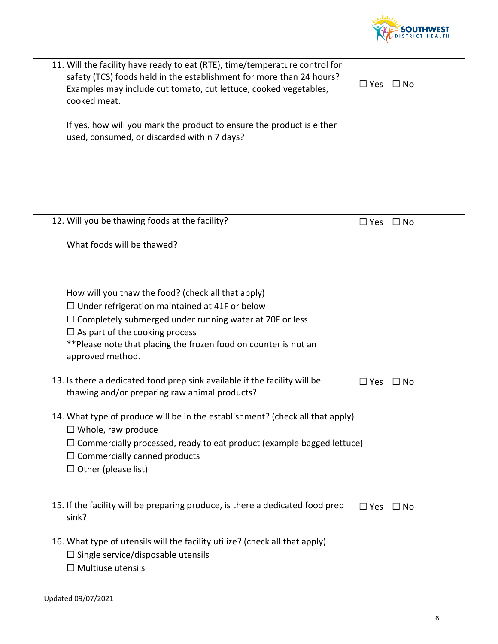

| 11. Will the facility have ready to eat (RTE), time/temperature control for<br>safety (TCS) foods held in the establishment for more than 24 hours?<br>Examples may include cut tomato, cut lettuce, cooked vegetables,<br>cooked meat.                                                                        | $\Box$ Yes    | $\square$ No |
|----------------------------------------------------------------------------------------------------------------------------------------------------------------------------------------------------------------------------------------------------------------------------------------------------------------|---------------|--------------|
| If yes, how will you mark the product to ensure the product is either<br>used, consumed, or discarded within 7 days?                                                                                                                                                                                           |               |              |
| 12. Will you be thawing foods at the facility?                                                                                                                                                                                                                                                                 | $\square$ Yes | $\square$ No |
| What foods will be thawed?                                                                                                                                                                                                                                                                                     |               |              |
| How will you thaw the food? (check all that apply)<br>$\Box$ Under refrigeration maintained at 41F or below<br>$\Box$ Completely submerged under running water at 70F or less<br>$\Box$ As part of the cooking process<br>** Please note that placing the frozen food on counter is not an<br>approved method. |               |              |
| 13. Is there a dedicated food prep sink available if the facility will be<br>thawing and/or preparing raw animal products?                                                                                                                                                                                     | $\square$ Yes | $\square$ No |
| 14. What type of produce will be in the establishment? (check all that apply)<br>$\Box$ Whole, raw produce<br>$\Box$ Commercially processed, ready to eat product (example bagged lettuce)<br>$\Box$ Commercially canned products<br>$\Box$ Other (please list)                                                |               |              |
| 15. If the facility will be preparing produce, is there a dedicated food prep<br>sink?                                                                                                                                                                                                                         | $\square$ Yes | $\square$ No |
| 16. What type of utensils will the facility utilize? (check all that apply)<br>$\Box$ Single service/disposable utensils<br>$\Box$ Multiuse utensils                                                                                                                                                           |               |              |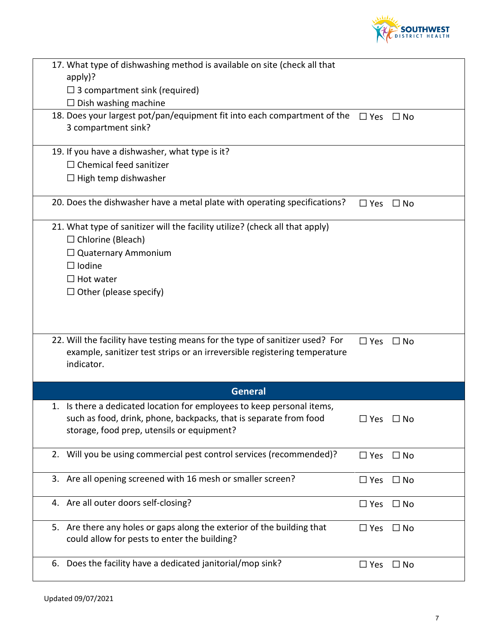

| 17. What type of dishwashing method is available on site (check all that<br>$apply$ ?                                                                                                     |               |              |
|-------------------------------------------------------------------------------------------------------------------------------------------------------------------------------------------|---------------|--------------|
| $\Box$ 3 compartment sink (required)                                                                                                                                                      |               |              |
| $\Box$ Dish washing machine                                                                                                                                                               |               |              |
| 18. Does your largest pot/pan/equipment fit into each compartment of the                                                                                                                  | $\Box$ Yes    | $\Box$ No    |
| 3 compartment sink?                                                                                                                                                                       |               |              |
| 19. If you have a dishwasher, what type is it?                                                                                                                                            |               |              |
| $\Box$ Chemical feed sanitizer                                                                                                                                                            |               |              |
| $\Box$ High temp dishwasher                                                                                                                                                               |               |              |
|                                                                                                                                                                                           |               |              |
| 20. Does the dishwasher have a metal plate with operating specifications?                                                                                                                 | $\square$ Yes | $\square$ No |
| 21. What type of sanitizer will the facility utilize? (check all that apply)                                                                                                              |               |              |
| $\Box$ Chlorine (Bleach)                                                                                                                                                                  |               |              |
| $\Box$ Quaternary Ammonium                                                                                                                                                                |               |              |
| $\Box$ Iodine                                                                                                                                                                             |               |              |
| $\Box$ Hot water                                                                                                                                                                          |               |              |
| $\Box$ Other (please specify)                                                                                                                                                             |               |              |
|                                                                                                                                                                                           |               |              |
| 22. Will the facility have testing means for the type of sanitizer used? For<br>example, sanitizer test strips or an irreversible registering temperature<br>indicator.                   | $\Box$ Yes    | $\Box$ No    |
| <b>General</b>                                                                                                                                                                            |               |              |
| 1. Is there a dedicated location for employees to keep personal items,<br>such as food, drink, phone, backpacks, that is separate from food<br>storage, food prep, utensils or equipment? | $\Box$ Yes    | $\square$ No |
| 2. Will you be using commercial pest control services (recommended)?                                                                                                                      | $\Box$ Yes    | $\Box$ No    |
| 3. Are all opening screened with 16 mesh or smaller screen?                                                                                                                               | $\Box$ Yes    | $\Box$ No    |
| 4. Are all outer doors self-closing?                                                                                                                                                      | $\Box$ Yes    | $\Box$ No    |
| 5. Are there any holes or gaps along the exterior of the building that<br>could allow for pests to enter the building?                                                                    | $\square$ Yes | $\Box$ No    |
|                                                                                                                                                                                           |               |              |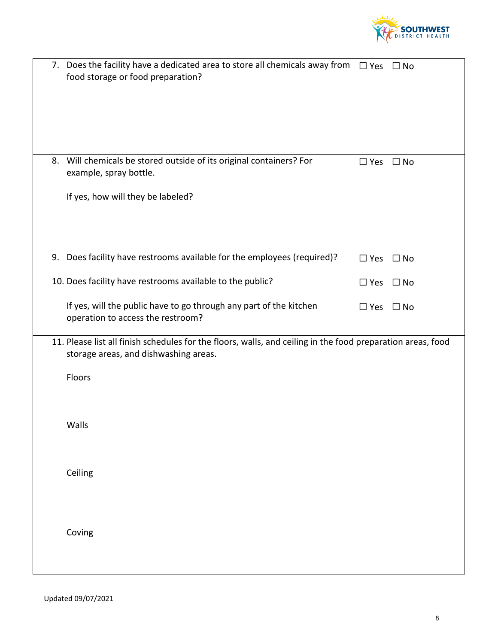

| 7. Does the facility have a dedicated area to store all chemicals away from<br>food storage or food preparation?                                     | $\Box$ Yes    | $\Box$ No    |
|------------------------------------------------------------------------------------------------------------------------------------------------------|---------------|--------------|
| 8. Will chemicals be stored outside of its original containers? For<br>example, spray bottle.                                                        | $\square$ Yes | $\Box$ No    |
| If yes, how will they be labeled?                                                                                                                    |               |              |
| 9. Does facility have restrooms available for the employees (required)?                                                                              | $\square$ Yes | $\Box$ No    |
| 10. Does facility have restrooms available to the public?                                                                                            | $\square$ Yes | $\square$ No |
| If yes, will the public have to go through any part of the kitchen<br>operation to access the restroom?                                              | $\square$ Yes | $\Box$ No    |
| 11. Please list all finish schedules for the floors, walls, and ceiling in the food preparation areas, food<br>storage areas, and dishwashing areas. |               |              |
| Floors                                                                                                                                               |               |              |
| Walls                                                                                                                                                |               |              |
| Ceiling                                                                                                                                              |               |              |
| Coving                                                                                                                                               |               |              |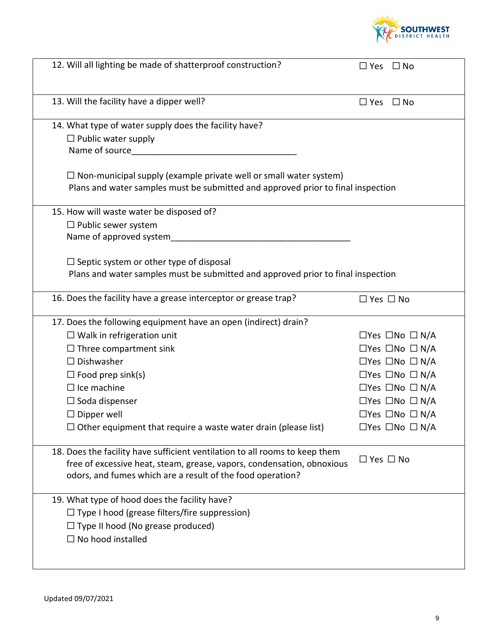

| 12. Will all lighting be made of shatterproof construction?                                                                                                                                                         | $\Box$ Yes $\Box$ No            |
|---------------------------------------------------------------------------------------------------------------------------------------------------------------------------------------------------------------------|---------------------------------|
| 13. Will the facility have a dipper well?                                                                                                                                                                           | $\Box$ Yes $\Box$ No            |
| 14. What type of water supply does the facility have?                                                                                                                                                               |                                 |
| $\Box$ Public water supply                                                                                                                                                                                          |                                 |
| Name of source_____                                                                                                                                                                                                 |                                 |
| $\Box$ Non-municipal supply (example private well or small water system)<br>Plans and water samples must be submitted and approved prior to final inspection                                                        |                                 |
| 15. How will waste water be disposed of?                                                                                                                                                                            |                                 |
| $\Box$ Public sewer system                                                                                                                                                                                          |                                 |
| Name of approved system                                                                                                                                                                                             |                                 |
| $\Box$ Septic system or other type of disposal                                                                                                                                                                      |                                 |
| Plans and water samples must be submitted and approved prior to final inspection                                                                                                                                    |                                 |
|                                                                                                                                                                                                                     |                                 |
| 16. Does the facility have a grease interceptor or grease trap?                                                                                                                                                     | $\Box$ Yes $\Box$ No            |
| 17. Does the following equipment have an open (indirect) drain?                                                                                                                                                     |                                 |
| $\Box$ Walk in refrigeration unit                                                                                                                                                                                   | $\Box$ Yes $\Box$ No $\Box$ N/A |
| $\Box$ Three compartment sink                                                                                                                                                                                       | $\Box$ Yes $\Box$ No $\Box$ N/A |
| $\Box$ Dishwasher                                                                                                                                                                                                   | $\Box$ Yes $\Box$ No $\Box$ N/A |
| $\Box$ Food prep sink(s)                                                                                                                                                                                            | $\Box$ Yes $\Box$ No $\Box$ N/A |
| $\Box$ Ice machine                                                                                                                                                                                                  | $\Box$ Yes $\Box$ No $\Box$ N/A |
| $\Box$ Soda dispenser                                                                                                                                                                                               | $\Box$ Yes $\Box$ No $\Box$ N/A |
| $\square$ Dipper well                                                                                                                                                                                               | $\Box$ Yes $\Box$ No $\Box$ N/A |
| $\Box$ Other equipment that require a waste water drain (please list)                                                                                                                                               | □Yes □No □ N/A                  |
| 18. Does the facility have sufficient ventilation to all rooms to keep them<br>free of excessive heat, steam, grease, vapors, condensation, obnoxious<br>odors, and fumes which are a result of the food operation? | $\Box$ Yes $\Box$ No            |
| 19. What type of hood does the facility have?                                                                                                                                                                       |                                 |
| $\Box$ Type I hood (grease filters/fire suppression)                                                                                                                                                                |                                 |
| $\Box$ Type II hood (No grease produced)                                                                                                                                                                            |                                 |
| $\Box$ No hood installed                                                                                                                                                                                            |                                 |
|                                                                                                                                                                                                                     |                                 |
|                                                                                                                                                                                                                     |                                 |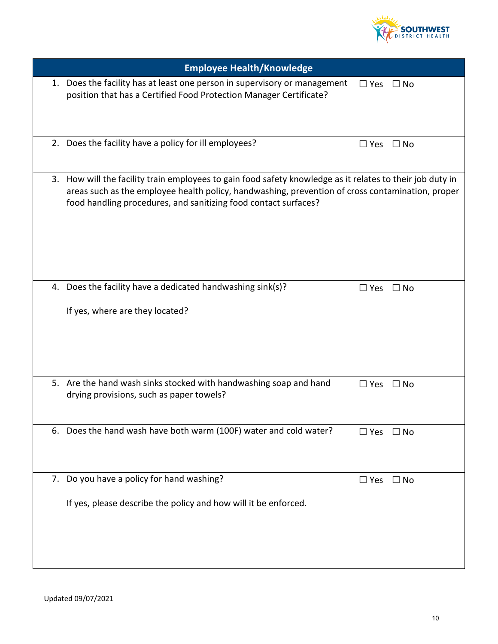

| <b>Employee Health/Knowledge</b>                                                                                                                                                                                                                                                 |                      |              |
|----------------------------------------------------------------------------------------------------------------------------------------------------------------------------------------------------------------------------------------------------------------------------------|----------------------|--------------|
| 1. Does the facility has at least one person in supervisory or management<br>position that has a Certified Food Protection Manager Certificate?                                                                                                                                  | $\Box$ Yes $\Box$ No |              |
| 2. Does the facility have a policy for ill employees?                                                                                                                                                                                                                            | $\square$ Yes        | $\square$ No |
| 3. How will the facility train employees to gain food safety knowledge as it relates to their job duty in<br>areas such as the employee health policy, handwashing, prevention of cross contamination, proper<br>food handling procedures, and sanitizing food contact surfaces? |                      |              |
| 4. Does the facility have a dedicated handwashing sink(s)?<br>If yes, where are they located?                                                                                                                                                                                    | $\Box$ Yes $\Box$ No |              |
| 5. Are the hand wash sinks stocked with handwashing soap and hand<br>drying provisions, such as paper towels?                                                                                                                                                                    | $\Box$ Yes           | $\Box$ No    |
| 6. Does the hand wash have both warm (100F) water and cold water?                                                                                                                                                                                                                | $\square$ Yes        | $\Box$ No    |
| 7. Do you have a policy for hand washing?<br>If yes, please describe the policy and how will it be enforced.                                                                                                                                                                     | $\Box$ Yes           | $\Box$ No    |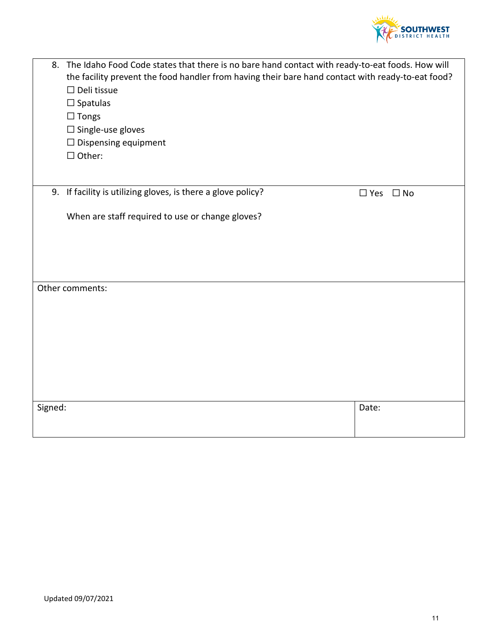

|         | 8. The Idaho Food Code states that there is no bare hand contact with ready-to-eat foods. How will<br>the facility prevent the food handler from having their bare hand contact with ready-to-eat food? |                      |  |
|---------|---------------------------------------------------------------------------------------------------------------------------------------------------------------------------------------------------------|----------------------|--|
|         |                                                                                                                                                                                                         |                      |  |
|         | $\Box$ Deli tissue                                                                                                                                                                                      |                      |  |
|         | $\Box$ Spatulas                                                                                                                                                                                         |                      |  |
|         | $\Box$ Tongs                                                                                                                                                                                            |                      |  |
|         | $\square$ Single-use gloves                                                                                                                                                                             |                      |  |
|         | $\Box$ Dispensing equipment                                                                                                                                                                             |                      |  |
|         | $\Box$ Other:                                                                                                                                                                                           |                      |  |
|         |                                                                                                                                                                                                         |                      |  |
|         |                                                                                                                                                                                                         |                      |  |
|         | 9. If facility is utilizing gloves, is there a glove policy?                                                                                                                                            | $\Box$ Yes $\Box$ No |  |
|         | When are staff required to use or change gloves?                                                                                                                                                        |                      |  |
|         |                                                                                                                                                                                                         |                      |  |
|         |                                                                                                                                                                                                         |                      |  |
|         |                                                                                                                                                                                                         |                      |  |
|         |                                                                                                                                                                                                         |                      |  |
|         |                                                                                                                                                                                                         |                      |  |
|         | Other comments:                                                                                                                                                                                         |                      |  |
|         |                                                                                                                                                                                                         |                      |  |
|         |                                                                                                                                                                                                         |                      |  |
|         |                                                                                                                                                                                                         |                      |  |
|         |                                                                                                                                                                                                         |                      |  |
|         |                                                                                                                                                                                                         |                      |  |
|         |                                                                                                                                                                                                         |                      |  |
|         |                                                                                                                                                                                                         |                      |  |
|         |                                                                                                                                                                                                         |                      |  |
| Signed: |                                                                                                                                                                                                         | Date:                |  |
|         |                                                                                                                                                                                                         |                      |  |
|         |                                                                                                                                                                                                         |                      |  |